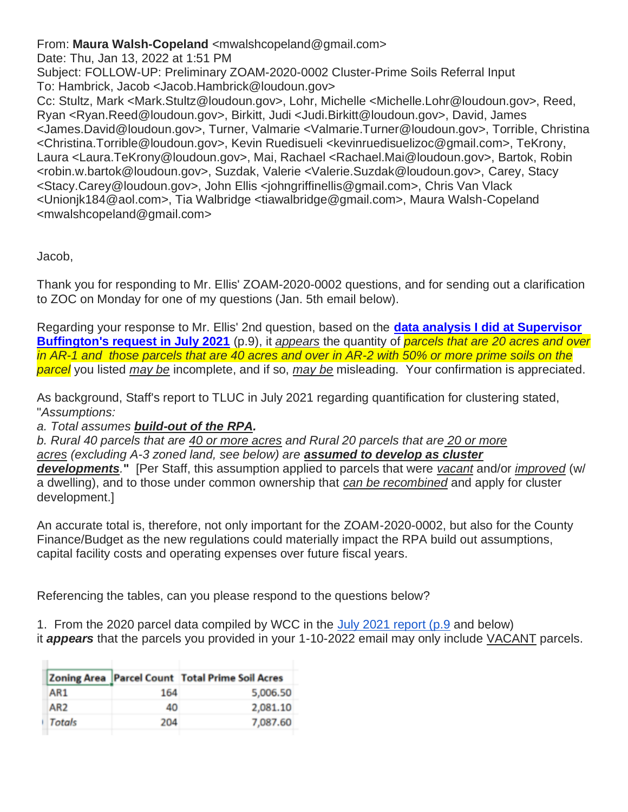From: **Maura Walsh-Copeland** <mwalshcopeland@gmail.com>

Date: Thu, Jan 13, 2022 at 1:51 PM

Subject: FOLLOW-UP: Preliminary ZOAM-2020-0002 Cluster-Prime Soils Referral Input To: Hambrick, Jacob <Jacob.Hambrick@loudoun.gov>

Cc: Stultz, Mark <Mark.Stultz@loudoun.gov>, Lohr, Michelle <Michelle.Lohr@loudoun.gov>, Reed, Ryan <Ryan.Reed@loudoun.gov>, Birkitt, Judi <Judi.Birkitt@loudoun.gov>, David, James <James.David@loudoun.gov>, Turner, Valmarie <Valmarie.Turner@loudoun.gov>, Torrible, Christina <Christina.Torrible@loudoun.gov>, Kevin Ruedisueli <kevinruedisuelizoc@gmail.com>, TeKrony, Laura <Laura.TeKrony@loudoun.gov>, Mai, Rachael <Rachael.Mai@loudoun.gov>, Bartok, Robin <robin.w.bartok@loudoun.gov>, Suzdak, Valerie <Valerie.Suzdak@loudoun.gov>, Carey, Stacy <Stacy.Carey@loudoun.gov>, John Ellis <johngriffinellis@gmail.com>, Chris Van Vlack <Unionjk184@aol.com>, Tia Walbridge <tiawalbridge@gmail.com>, Maura Walsh-Copeland <mwalshcopeland@gmail.com>

Jacob,

Thank you for responding to Mr. Ellis' ZOAM-2020-0002 questions, and for sending out a clarification to ZOC on Monday for one of my questions (Jan. 5th email below).

Regarding your response to Mr. Ellis' 2nd question, based on the **[data analysis I did at Supervisor](https://loudouncoalition.org/wp-content/uploads/2021/07/Cluster-Subdivision_BOS-Questions-WCC.REVIEW-7-20-21a.pdf)  [Buffington's request in July 2021](https://loudouncoalition.org/wp-content/uploads/2021/07/Cluster-Subdivision_BOS-Questions-WCC.REVIEW-7-20-21a.pdf)** (p.9), it *appears* the quantity of *parcels that are 20 acres and over in AR-1 and those parcels that are 40 acres and over in AR-2 with 50% or more prime soils on the parcel* you listed *may be* incomplete, and if so, *may be* misleading. Your confirmation is appreciated.

As background, Staff's report to TLUC in July 2021 regarding quantification for clustering stated, "*Assumptions:* 

## *a. Total assumes build-out of the RPA.*

*b. Rural 40 parcels that are 40 or more acres and Rural 20 parcels that are 20 or more acres (excluding A-3 zoned land, see below) are assumed to develop as cluster developments.***"** [Per Staff, this assumption applied to parcels that were *vacant* and/or *improved* (w/ a dwelling), and to those under common ownership that *can be recombined* and apply for cluster development.]

An accurate total is, therefore, not only important for the ZOAM-2020-0002, but also for the County Finance/Budget as the new regulations could materially impact the RPA build out assumptions, capital facility costs and operating expenses over future fiscal years.

Referencing the tables, can you please respond to the questions below?

1. From the 2020 parcel data compiled by WCC in the [July 2021 report \(p.9](https://loudouncoalition.org/wp-content/uploads/2021/07/Cluster-Subdivision_BOS-Questions-WCC.REVIEW-7-20-21a.pdf) and below)

it *appears* that the parcels you provided in your 1-10-2022 email may only include VACANT parcels.

|                 |     | <b>Zoning Area Parcel Count Total Prime Soil Acres</b> |
|-----------------|-----|--------------------------------------------------------|
| AR1             | 164 | 5,006.50                                               |
| AR <sub>2</sub> | 40  | 2,081.10                                               |
| Totals          | 204 | 7,087.60                                               |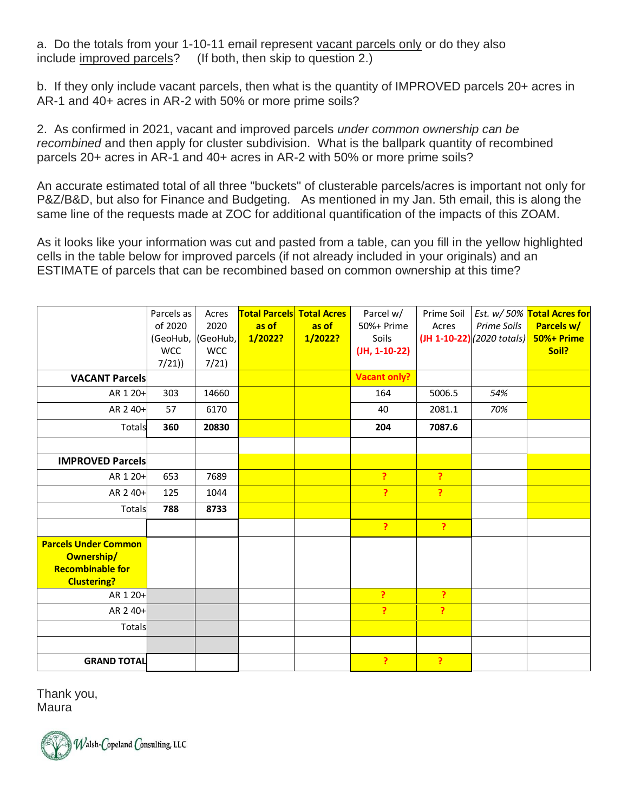a. Do the totals from your 1-10-11 email represent vacant parcels only or do they also include improved parcels? (If both, then skip to question 2.)

b. If they only include vacant parcels, then what is the quantity of IMPROVED parcels 20+ acres in AR-1 and 40+ acres in AR-2 with 50% or more prime soils?

2. As confirmed in 2021, vacant and improved parcels *under common ownership can be recombined* and then apply for cluster subdivision. What is the ballpark quantity of recombined parcels 20+ acres in AR-1 and 40+ acres in AR-2 with 50% or more prime soils?

An accurate estimated total of all three "buckets" of clusterable parcels/acres is important not only for P&Z/B&D, but also for Finance and Budgeting. As mentioned in my Jan. 5th email, this is along the same line of the requests made at ZOC for additional quantification of the impacts of this ZOAM.

As it looks like your information was cut and pasted from a table, can you fill in the yellow highlighted cells in the table below for improved parcels (if not already included in your originals) and an ESTIMATE of parcels that can be recombined based on common ownership at this time?

|                                                                                            | Parcels as<br>of 2020<br>(GeoHub,<br><b>WCC</b> | Acres<br>2020<br>(GeoHub,<br><b>WCC</b> | <b>Total Parcels Total Acres</b><br>as of<br>1/2022? | as of<br>1/2022? | Parcel w/<br>50%+ Prime<br>Soils<br>$($ JH, 1-10-22 $)$ | Prime Soil<br>Acres | Prime Soils<br>$($ JH 1-10-22 $)$ $(2020$ totals $)$ | Est. w/ 50% Total Acres for<br>Parcels w/<br>50%+ Prime<br>Soil? |
|--------------------------------------------------------------------------------------------|-------------------------------------------------|-----------------------------------------|------------------------------------------------------|------------------|---------------------------------------------------------|---------------------|------------------------------------------------------|------------------------------------------------------------------|
| <b>VACANT Parcels</b>                                                                      | 7/21)                                           | 7/21                                    |                                                      |                  | <b>Vacant only?</b>                                     |                     |                                                      |                                                                  |
| AR 1 20+                                                                                   | 303                                             | 14660                                   |                                                      |                  | 164                                                     | 5006.5              | 54%                                                  |                                                                  |
| AR 2 40+                                                                                   | 57                                              | 6170                                    |                                                      |                  | 40                                                      | 2081.1              | 70%                                                  |                                                                  |
| Totals                                                                                     | 360                                             | 20830                                   |                                                      |                  | 204                                                     | 7087.6              |                                                      |                                                                  |
|                                                                                            |                                                 |                                         |                                                      |                  |                                                         |                     |                                                      |                                                                  |
| <b>IMPROVED Parcels</b>                                                                    |                                                 |                                         |                                                      |                  |                                                         |                     |                                                      |                                                                  |
| AR 1 20+                                                                                   | 653                                             | 7689                                    |                                                      |                  | P                                                       | P                   |                                                      |                                                                  |
| AR 2 40+                                                                                   | 125                                             | 1044                                    |                                                      |                  | P.                                                      | P                   |                                                      |                                                                  |
| Totals                                                                                     | 788                                             | 8733                                    |                                                      |                  |                                                         |                     |                                                      |                                                                  |
|                                                                                            |                                                 |                                         |                                                      |                  | $\mathbf{P}$                                            | ?                   |                                                      |                                                                  |
| <b>Parcels Under Common</b><br>Ownership/<br><b>Recombinable for</b><br><b>Clustering?</b> |                                                 |                                         |                                                      |                  |                                                         |                     |                                                      |                                                                  |
| AR 1 20+                                                                                   |                                                 |                                         |                                                      |                  | P                                                       | ?                   |                                                      |                                                                  |
| AR 2 40+                                                                                   |                                                 |                                         |                                                      |                  | Ŷ.                                                      | ?                   |                                                      |                                                                  |
| Totals                                                                                     |                                                 |                                         |                                                      |                  |                                                         |                     |                                                      |                                                                  |
|                                                                                            |                                                 |                                         |                                                      |                  |                                                         |                     |                                                      |                                                                  |
| <b>GRAND TOTAL</b>                                                                         |                                                 |                                         |                                                      |                  | P                                                       | $\overline{?}$      |                                                      |                                                                  |

Thank you, Maura

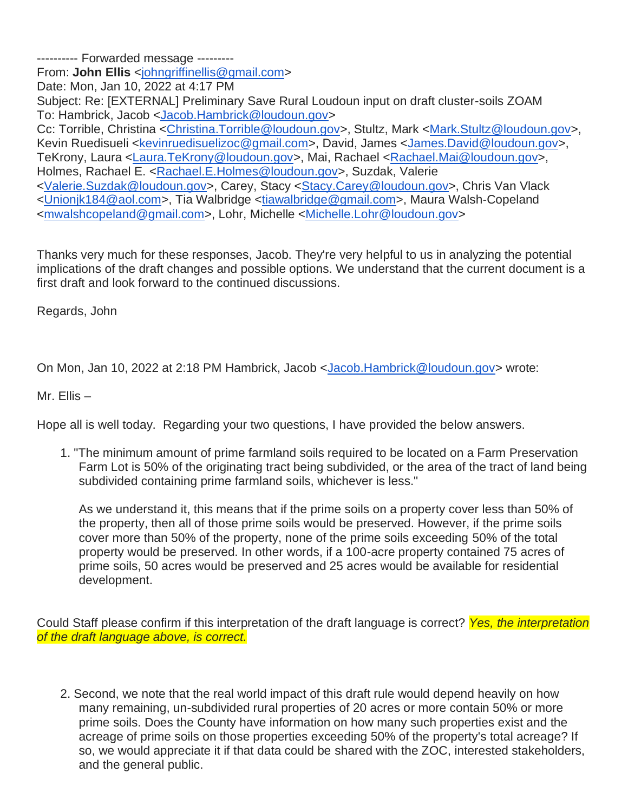---------- Forwarded message --------- From: **John Ellis** [<johngriffinellis@gmail.com>](mailto:johngriffinellis@gmail.com) Date: Mon, Jan 10, 2022 at 4:17 PM Subject: Re: [EXTERNAL] Preliminary Save Rural Loudoun input on draft cluster-soils ZOAM To: Hambrick, Jacob [<Jacob.Hambrick@loudoun.gov>](mailto:Jacob.Hambrick@loudoun.gov) Cc: Torrible, Christina [<Christina.Torrible@loudoun.gov>](mailto:Christina.Torrible@loudoun.gov), Stultz, Mark [<Mark.Stultz@loudoun.gov>](mailto:Mark.Stultz@loudoun.gov), Kevin Ruedisueli [<kevinruedisuelizoc@gmail.com>](mailto:kevinruedisuelizoc@gmail.com), David, James [<James.David@loudoun.gov>](mailto:James.David@loudoun.gov), TeKrony, Laura [<Laura.TeKrony@loudoun.gov>](mailto:Laura.TeKrony@loudoun.gov), Mai, Rachael [<Rachael.Mai@loudoun.gov>](mailto:Rachael.Mai@loudoun.gov), Holmes, Rachael E. [<Rachael.E.Holmes@loudoun.gov>](mailto:Rachael.E.Holmes@loudoun.gov), Suzdak, Valerie [<Valerie.Suzdak@loudoun.gov>](mailto:Valerie.Suzdak@loudoun.gov), Carey, Stacy [<Stacy.Carey@loudoun.gov>](mailto:Stacy.Carey@loudoun.gov), Chris Van Vlack [<Unionjk184@aol.com>](mailto:Unionjk184@aol.com), Tia Walbridge [<tiawalbridge@gmail.com>](mailto:tiawalbridge@gmail.com), Maura Walsh-Copeland [<mwalshcopeland@gmail.com>](mailto:mwalshcopeland@gmail.com), Lohr, Michelle [<Michelle.Lohr@loudoun.gov>](mailto:Michelle.Lohr@loudoun.gov)

Thanks very much for these responses, Jacob. They're very helpful to us in analyzing the potential implications of the draft changes and possible options. We understand that the current document is a first draft and look forward to the continued discussions.

Regards, John

On Mon, Jan 10, 2022 at 2:18 PM Hambrick, Jacob [<Jacob.Hambrick@loudoun.gov>](mailto:Jacob.Hambrick@loudoun.gov) wrote:

Mr. Ellis –

Hope all is well today. Regarding your two questions, I have provided the below answers.

1. "The minimum amount of prime farmland soils required to be located on a Farm Preservation Farm Lot is 50% of the originating tract being subdivided, or the area of the tract of land being subdivided containing prime farmland soils, whichever is less."

As we understand it, this means that if the prime soils on a property cover less than 50% of the property, then all of those prime soils would be preserved. However, if the prime soils cover more than 50% of the property, none of the prime soils exceeding 50% of the total property would be preserved. In other words, if a 100-acre property contained 75 acres of prime soils, 50 acres would be preserved and 25 acres would be available for residential development.

Could Staff please confirm if this interpretation of the draft language is correct? *Yes, the interpretation of the draft language above, is correct.*

2. Second, we note that the real world impact of this draft rule would depend heavily on how many remaining, un-subdivided rural properties of 20 acres or more contain 50% or more prime soils. Does the County have information on how many such properties exist and the acreage of prime soils on those properties exceeding 50% of the property's total acreage? If so, we would appreciate it if that data could be shared with the ZOC, interested stakeholders, and the general public.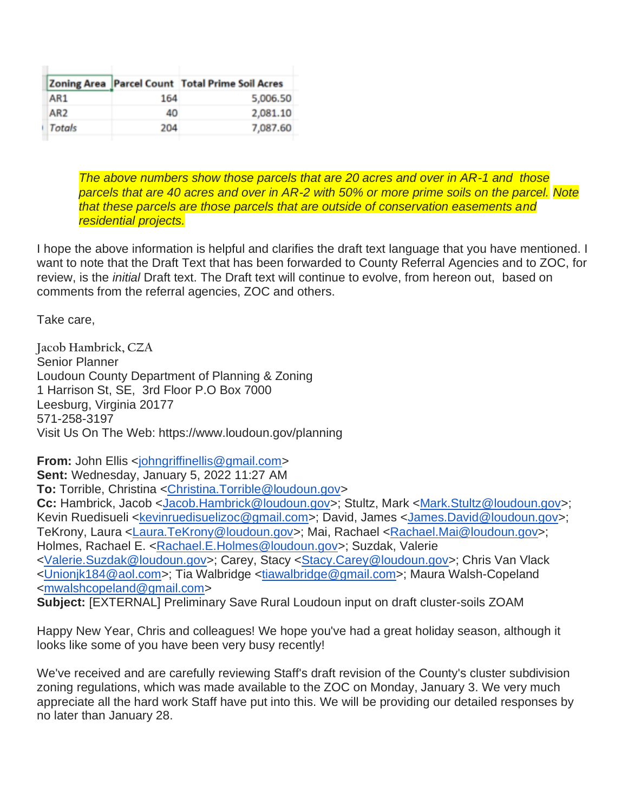|        |     | Zoning Area   Parcel Count Total Prime Soil Acres |
|--------|-----|---------------------------------------------------|
| AR1    | 164 | 5,006.50                                          |
| AR2    | 40  | 2,081.10                                          |
| Totals | 204 | 7,087.60                                          |

*The above numbers show those parcels that are 20 acres and over in AR-1 and those parcels that are 40 acres and over in AR-2 with 50% or more prime soils on the parcel. Note that these parcels are those parcels that are outside of conservation easements and residential projects.*

I hope the above information is helpful and clarifies the draft text language that you have mentioned. I want to note that the Draft Text that has been forwarded to County Referral Agencies and to ZOC, for review, is the *initial* Draft text. The Draft text will continue to evolve, from hereon out, based on comments from the referral agencies, ZOC and others.

Take care,

**Jacob Hambrick, CZA** Senior Planner Loudoun County Department of Planning & Zoning 1 Harrison St, SE, 3rd Floor P.O Box 7000 Leesburg, Virginia 20177 571-258-3197 Visit Us On The Web: https://www.loudoun.gov/planning

**From:** John Ellis [<johngriffinellis@gmail.com>](mailto:johngriffinellis@gmail.com) **Sent:** Wednesday, January 5, 2022 11:27 AM **To:** Torrible, Christina [<Christina.Torrible@loudoun.gov>](mailto:Christina.Torrible@loudoun.gov) **Cc:** Hambrick, Jacob [<Jacob.Hambrick@loudoun.gov>](mailto:Jacob.Hambrick@loudoun.gov); Stultz, Mark [<Mark.Stultz@loudoun.gov>](mailto:Mark.Stultz@loudoun.gov); Kevin Ruedisueli [<kevinruedisuelizoc@gmail.com>](mailto:kevinruedisuelizoc@gmail.com); David, James [<James.David@loudoun.gov>](mailto:James.David@loudoun.gov); TeKrony, Laura [<Laura.TeKrony@loudoun.gov>](mailto:Laura.TeKrony@loudoun.gov); Mai, Rachael [<Rachael.Mai@loudoun.gov>](mailto:Rachael.Mai@loudoun.gov); Holmes, Rachael E. [<Rachael.E.Holmes@loudoun.gov>](mailto:Rachael.E.Holmes@loudoun.gov); Suzdak, Valerie [<Valerie.Suzdak@loudoun.gov>](mailto:Valerie.Suzdak@loudoun.gov); Carey, Stacy [<Stacy.Carey@loudoun.gov>](mailto:Stacy.Carey@loudoun.gov); Chris Van Vlack [<Unionjk184@aol.com>](mailto:Unionjk184@aol.com); Tia Walbridge [<tiawalbridge@gmail.com>](mailto:tiawalbridge@gmail.com); Maura Walsh-Copeland [<mwalshcopeland@gmail.com>](mailto:mwalshcopeland@gmail.com)

**Subject:** [EXTERNAL] Preliminary Save Rural Loudoun input on draft cluster-soils ZOAM

Happy New Year, Chris and colleagues! We hope you've had a great holiday season, although it looks like some of you have been very busy recently!

We've received and are carefully reviewing Staff's draft revision of the County's cluster subdivision zoning regulations, which was made available to the ZOC on Monday, January 3. We very much appreciate all the hard work Staff have put into this. We will be providing our detailed responses by no later than January 28.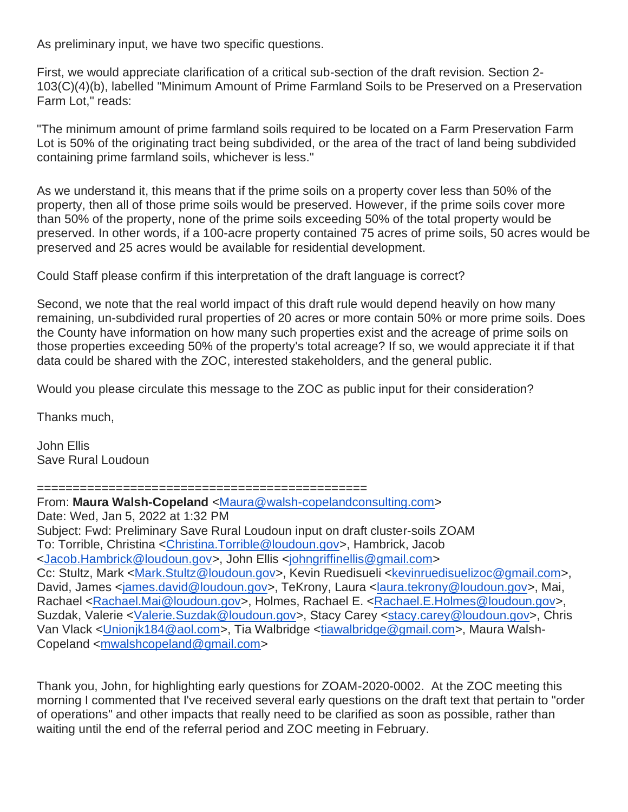As preliminary input, we have two specific questions.

First, we would appreciate clarification of a critical sub-section of the draft revision. Section 2- 103(C)(4)(b), labelled "Minimum Amount of Prime Farmland Soils to be Preserved on a Preservation Farm Lot," reads:

"The minimum amount of prime farmland soils required to be located on a Farm Preservation Farm Lot is 50% of the originating tract being subdivided, or the area of the tract of land being subdivided containing prime farmland soils, whichever is less."

As we understand it, this means that if the prime soils on a property cover less than 50% of the property, then all of those prime soils would be preserved. However, if the prime soils cover more than 50% of the property, none of the prime soils exceeding 50% of the total property would be preserved. In other words, if a 100-acre property contained 75 acres of prime soils, 50 acres would be preserved and 25 acres would be available for residential development.

Could Staff please confirm if this interpretation of the draft language is correct?

Second, we note that the real world impact of this draft rule would depend heavily on how many remaining, un-subdivided rural properties of 20 acres or more contain 50% or more prime soils. Does the County have information on how many such properties exist and the acreage of prime soils on those properties exceeding 50% of the property's total acreage? If so, we would appreciate it if that data could be shared with the ZOC, interested stakeholders, and the general public.

Would you please circulate this message to the ZOC as public input for their consideration?

Thanks much,

John Ellis Save Rural Loudoun

==============================================

From: **Maura Walsh-Copeland** [<Maura@walsh-copelandconsulting.com>](mailto:Maura@walsh-copelandconsulting.com) Date: Wed, Jan 5, 2022 at 1:32 PM Subject: Fwd: Preliminary Save Rural Loudoun input on draft cluster-soils ZOAM To: Torrible, Christina [<Christina.Torrible@loudoun.gov>](mailto:Christina.Torrible@loudoun.gov), Hambrick, Jacob [<Jacob.Hambrick@loudoun.gov>](mailto:Jacob.Hambrick@loudoun.gov), John Ellis [<johngriffinellis@gmail.com>](mailto:johngriffinellis@gmail.com) Cc: Stultz, Mark [<Mark.Stultz@loudoun.gov>](mailto:Mark.Stultz@loudoun.gov), Kevin Ruedisueli [<kevinruedisuelizoc@gmail.com>](mailto:kevinruedisuelizoc@gmail.com), David, James [<james.david@loudoun.gov>](mailto:james.david@loudoun.gov), TeKrony, Laura [<laura.tekrony@loudoun.gov>](mailto:laura.tekrony@loudoun.gov), Mai, Rachael [<Rachael.Mai@loudoun.gov>](mailto:Rachael.Mai@loudoun.gov), Holmes, Rachael E. [<Rachael.E.Holmes@loudoun.gov>](mailto:Rachael.E.Holmes@loudoun.gov), Suzdak, Valerie [<Valerie.Suzdak@loudoun.gov>](mailto:Valerie.Suzdak@loudoun.gov), Stacy Carey [<stacy.carey@loudoun.gov>](mailto:stacy.carey@loudoun.gov), Chris Van Vlack [<Unionjk184@aol.com>](mailto:Unionjk184@aol.com), Tia Walbridge [<tiawalbridge@gmail.com>](mailto:tiawalbridge@gmail.com), Maura Walsh-Copeland [<mwalshcopeland@gmail.com>](mailto:mwalshcopeland@gmail.com)

Thank you, John, for highlighting early questions for ZOAM-2020-0002. At the ZOC meeting this morning I commented that I've received several early questions on the draft text that pertain to "order of operations" and other impacts that really need to be clarified as soon as possible, rather than waiting until the end of the referral period and ZOC meeting in February.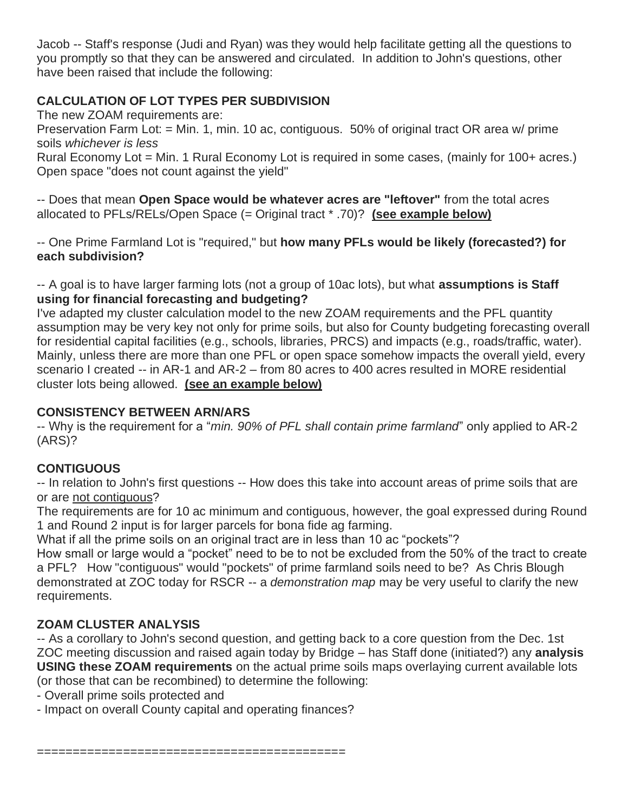Jacob -- Staff's response (Judi and Ryan) was they would help facilitate getting all the questions to you promptly so that they can be answered and circulated. In addition to John's questions, other have been raised that include the following:

### **CALCULATION OF LOT TYPES PER SUBDIVISION**

The new ZOAM requirements are:

Preservation Farm Lot: = Min. 1, min. 10 ac, contiguous. 50% of original tract OR area w/ prime soils *whichever is less*

Rural Economy Lot = Min. 1 Rural Economy Lot is required in some cases, (mainly for 100+ acres.) Open space "does not count against the yield"

-- Does that mean **Open Space would be whatever acres are "leftover"** from the total acres allocated to PFLs/RELs/Open Space (= Original tract \* .70)? **(see example below)**

-- One Prime Farmland Lot is "required," but **how many PFLs would be likely (forecasted?) for each subdivision?** 

-- A goal is to have larger farming lots (not a group of 10ac lots), but what **assumptions is Staff using for financial forecasting and budgeting?**

I've adapted my cluster calculation model to the new ZOAM requirements and the PFL quantity assumption may be very key not only for prime soils, but also for County budgeting forecasting overall for residential capital facilities (e.g., schools, libraries, PRCS) and impacts (e.g., roads/traffic, water). Mainly, unless there are more than one PFL or open space somehow impacts the overall yield, every scenario I created -- in AR-1 and AR-2 – from 80 acres to 400 acres resulted in MORE residential cluster lots being allowed. **(see an example below)**

### **CONSISTENCY BETWEEN ARN/ARS**

-- Why is the requirement for a "*min. 90% of PFL shall contain prime farmland*" only applied to AR-2 (ARS)?

# **CONTIGUOUS**

-- In relation to John's first questions -- How does this take into account areas of prime soils that are or are not contiguous?

The requirements are for 10 ac minimum and contiguous, however, the goal expressed during Round 1 and Round 2 input is for larger parcels for bona fide ag farming.

What if all the prime soils on an original tract are in less than 10 ac "pockets"?

How small or large would a "pocket" need to be to not be excluded from the 50% of the tract to create a PFL? How "contiguous" would "pockets" of prime farmland soils need to be? As Chris Blough demonstrated at ZOC today for RSCR -- a *demonstration map* may be very useful to clarify the new requirements.

## **ZOAM CLUSTER ANALYSIS**

-- As a corollary to John's second question, and getting back to a core question from the Dec. 1st ZOC meeting discussion and raised again today by Bridge – has Staff done (initiated?) any **analysis USING these ZOAM requirements** on the actual prime soils maps overlaying current available lots (or those that can be recombined) to determine the following:

- Overall prime soils protected and
- Impact on overall County capital and operating finances?